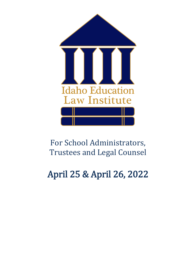

## For School Administrators, Trustees and Legal Counsel

# April 25 & April 26, 2022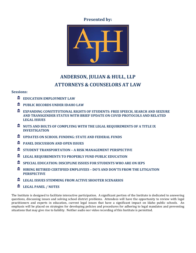**Presented by:**



#### **ANDERSON, JULIAN & HULL, LLP ATTORNEYS & COUNSELORS AT LAW**

#### **Sessions:**

- 皿 **EDUCATION EMPLOYMENT LAW**
- 血 **PUBLIC RECORDS UNDER IDAHO LAW**
- **EXPANDING CONSTITUTIONAL RIGHTS OF STUDENTS: FREE SPEECH, SEARCH AND SEIZURE AND TRANSGENDER STATUS WITH BRIEF UPDATE ON COVID PROTOCOLS AND RELATED LEGAL ISSUES**
- $\text{NUTS}$  **AND BOLTS OF COMPLYING WITH THE LEGAL REQUIREMENTS OF A TITLE IX INVESTIGATION**
- 血 **UPDATES ON SCHOOL FUNDING: STATE AND FEDERAL FUNDS**
- 血 **PANEL DISCUSSION AND OPEN ISSUES**
- 血 **STUDENT TRANSPORTATION – A RISK MANAGEMENT PERSPECTIVE**
- 皿 **LEGAL REQUIREMENTS TO PROPERLY FUND PUBLIC EDUCATION**
- 血 **SPECIAL EDUCATION: DISCIPLINE ISSUES FOR STUDENTS WHO ARE ON IEPS**
- **HIRING RETIRED CERTIFIED EMPLOYEES – DO'S AND DON'TS FROM THE LITIGATION PERSPECTIVE**
- 血 **LEGAL ISSUES STEMMING FROM ACTIVE SHOOTER SCENARIOS**
- 皿 **LEGAL PANEL / NOTES**

The Institute is designed to facilitate interactive participation. A significant portion of the Institute is dedicated to answering questions, discussing issues and solving school district problems. Attendees will have the opportunity to review with legal practitioners and experts in education, current legal issues that have a significant impact on Idaho public schools. An emphasis will be placed on strategies for developing policies and procedures for adhering to legal mandates and preventing situations that may give rise to liability. Neither audio nor video recording of this Institute is permitted.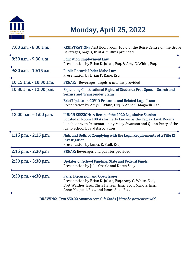

## Monday, April 25, 2022

| 7:00 a.m. - 8:30 a.m.      | REGISTRATION: First floor, room 100 C of the Boise Centre on the Grove<br>Beverages, bagels, fruit & muffins provided                                                                                                                  |
|----------------------------|----------------------------------------------------------------------------------------------------------------------------------------------------------------------------------------------------------------------------------------|
| 8:30 a.m. - 9:30 a.m.      | <b>Education Employment Law</b><br>Presentation by Brian K. Julian, Esq. & Amy G. White, Esq.                                                                                                                                          |
| 9:30 a.m. - 10:15 a.m.     | <b>Public Records Under Idaho Law</b><br>Presentation by Brian P. Kane, Esq.                                                                                                                                                           |
| $10:15$ a.m. $-10:30$ a.m. | BREAK: Beverages, bagels & muffins provided                                                                                                                                                                                            |
| 10:30 a.m. - 12:00 p.m.    | <b>Expanding Constitutional Rights of Students: Free Speech, Search and</b><br><b>Seizure and Transgender Status</b>                                                                                                                   |
|                            | <b>Brief Update on COVID Protocols and Related Legal Issues</b><br>Presentation by Amy G. White, Esq. & Anne S. Magnelli, Esq.                                                                                                         |
| 12:00 p.m. $-$ 1:00 p.m.   | LUNCH SESSION: A Recap of the 2020 Legislative Session<br>Located in Room 100 A (formerly known as the Eagle/Hawk Room)<br>Luncheon with Presentation by Misty Swanson and Quinn Perry of the<br><b>Idaho School Board Association</b> |
| $1:15$ p.m. $- 2:15$ p.m.  | Nuts and Bolts of Complying with the Legal Requirements of a Title IX<br>Investigation<br>Presentation by James R. Stoll, Esq.                                                                                                         |
| $2:15$ p.m. $- 2:30$ p.m.  | <b>BREAK:</b> Beverages and pastries provided                                                                                                                                                                                          |
| 2:30 p.m. - 3:30 p.m.      | <b>Updates on School Funding: State and Federal Funds</b><br>Presentation by Julie Oberle and Karen Seay                                                                                                                               |
| 3:30 p.m. - 4:30 p.m.      | <b>Panel Discussion and Open Issues</b><br>Presentation by Brian K. Julian, Esq.; Amy G. White, Esq.,<br>Bret Walther, Esq., Chris Hansen, Esq.; Scott Marotz, Esq.,<br>Anne Magnelli, Esq., and James Stoll, Esq.                     |

DRAWING: Two \$50.00 Amazon.com Gift Cards [Must be present to win]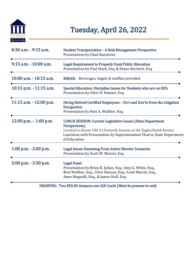

## Tuesday, April 26, 2022

| $8:30$ a.m. $-9:15$ a.m.  | <b>Student Transportation - A Risk Management Perspective</b><br>Presentation by Chad Ranstrom                                                                                                                                                |
|---------------------------|-----------------------------------------------------------------------------------------------------------------------------------------------------------------------------------------------------------------------------------------------|
| 9:15 a.m. - 10:00 a.m.    | Legal Requirement to Properly Fund Public Education<br>Presentation by Paul Stark, Esq. & Shane Reichert, Esq.                                                                                                                                |
| 10:00 a.m. - 10:15 a.m.   | <b>BREAK:</b> Beverages, bagels & muffins provided                                                                                                                                                                                            |
| 10:15 p.m. - 11:15 a.m.   | Special Education: Discipline Issues for Students who are on IEPs<br>Presentation by Chris H. Hansen, Esq.                                                                                                                                    |
| 11:15 a.m. - 12:00 p.m.   | Hiring Retired Certified Employees - Do's and Don'ts from the Litigation<br>Perspective<br>Presentation by Bret A. Walther, Esq.                                                                                                              |
| 12:00 p.m. $-1:00$ p.m.   | <b>LUNCH SESSION: Current Legislative Issues (State Department</b><br>Perspectives)<br>Located in Room 100 A (formerly known as the Eagle/Hawk Room)<br>Luncheon with Presentation by Superintendent Ybarra, State Department<br>of Education |
| $1:00$ p.m. $- 2:00$ p.m. | <b>Legal Issues Stemming From Active Shooter Scenarios</b><br>Presentation by Scott W. Marotz, Esq.                                                                                                                                           |
| 2:00 p.m. - 2:30 p.m.     | <b>Legal Panel</b><br>Presentation by Brian K. Julian, Esq.; Amy G. White, Esq.,<br>Bret Walther, Esq., Chris Hansen, Esq.; Scott Marotz, Esq.,<br>Anne Magnelli, Esq., & James Stoll, Esq.                                                   |

DRAWING: Two \$50.00 Amazon.com Gift Cards [Must be present to win]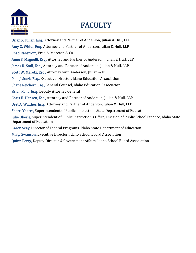

## FACULTY

Brian K. Julian, Esq., Attorney and Partner of Anderson, Julian & Hull, LLP Amy G. White, Esq., Attorney and Partner of Anderson, Julian & Hull, LLP Chad Ranstrom, Fred A. Moreton & Co. Anne S. Magnelli, Esq., Attorney and Partner of Anderson, Julian & Hull, LLP James R. Stoll, Esq., Attorney and Partner of Anderson, Julian & Hull, LLP Scott W. Marotz, Esq., Attorney with Anderson, Julian & Hull, LLP Paul J. Stark, Esq., Executive Director, Idaho Education Association Shane Reichert, Esq., General Counsel, Idaho Education Association Brian Kane, Esq., Deputy Attorney General Chris H. Hansen, Esq., Attorney and Partner of Anderson, Julian & Hull, LLP Bret A. Walther, Esq., Attorney and Partner of Anderson, Julian & Hull, LLP Sherri Ybarra, Superintendent of Public Instruction, State Department of Education Julie Oberle, Superintendent of Public Instruction's Office, Division of Public School Finance, Idaho State Department of Education Karen Seay, Director of Federal Programs, Idaho State Department of Education Misty Swanson, Executive Director, Idaho School Board Association Quinn Perry, Deputy Director & Government Affairs, Idaho School Board Association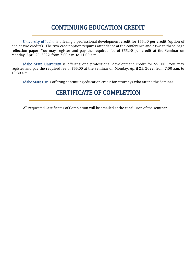### CONTINUING EDUCATION CREDIT

University of Idaho is offering a professional development credit for \$55.00 per credit (option of one or two credits). The two-credit option requires attendance at the conference and a two to three-page reflection paper. You may register and pay the required fee of \$55.00 per credit at the Seminar on Monday, April 25, 2022, from 7:00 a.m. to 11:00 a.m.

Idaho State University is offering one professional development credit for \$55.00. You may register and pay the required fee of \$55.00 at the Seminar on Monday, April 25, 2022, from 7:00 a.m. to 10:30 a.m.

Idaho State Bar is offering continuing education credit for attorneys who attend the Seminar.

#### CERTIFICATE OF COMPLETION

All requested Certificates of Completion will be emailed at the conclusion of the seminar.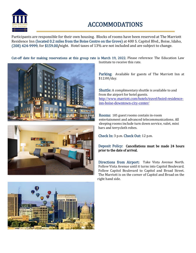

### ACCOMMODATIONS

Participants are responsible for their own housing. Blocks of rooms have been reserved at The Marriott Residence Inn (located 0.2 miles from the Boise Centre on the Grove) at 400 S. Capitol Blvd., Boise, Idaho, (208) 424-9999, for \$159.00/night. Hotel taxes of 13% are not included and are subject to change.

Cut-off date for making reservations at this group rate is March 19, 2022. Please reference The Education Law Institute to receive this rate.





Parking: Available for guests of The Marriott Inn at \$12.00/day.

Shuttle: A complimentary shuttle is available to and from the airport for hotel guests. [http://www.marriott.com/hotels/travel/boird-residence](http://www.marriott.com/hotels/travel/boird-residence-inn-boise-downtown-city-center/)[inn-boise-downtown-city-center/](http://www.marriott.com/hotels/travel/boird-residence-inn-boise-downtown-city-center/)

Rooms: 185 guest rooms contain in-room entertainment and advanced telecommunications. All sleeping rooms include turn down service, valet, mini bars and terrycloth robes.

Check In: 3 p.m. Check Out: 12 p.m.

Deposit Policy: Cancellations must be made 24 hours prior to the date of arrival.

Directions from Airport: Take Vista Avenue North. Follow Vista Avenue until it turns into Capitol Boulevard. Follow Capitol Boulevard to Capitol and Broad Street. The Marriott is on the corner of Capitol and Broad on the right hand side.

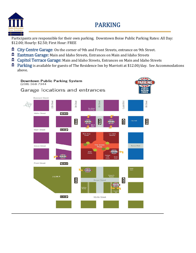

### PARKING

Participants are responsible for their own parking. Downtown Boise Public Parking Rates: All Day: \$12.00; Hourly: \$2.50; First Hour: FREE

- 皿 City Centre Garage: On the corner of 9th and Front Streets, entrance on 9th Street.
- **Eastman Garage:** Main and Idaho Streets, Entrances on Main and Idaho Streets
- 血 Capitol Terrace Garage: Main and Idaho Streets, Entrances on Main and Idaho Streets
- **The Parking** is available for guests of The Residence Inn by Marriott at \$12.00/day. See Accommodations above.